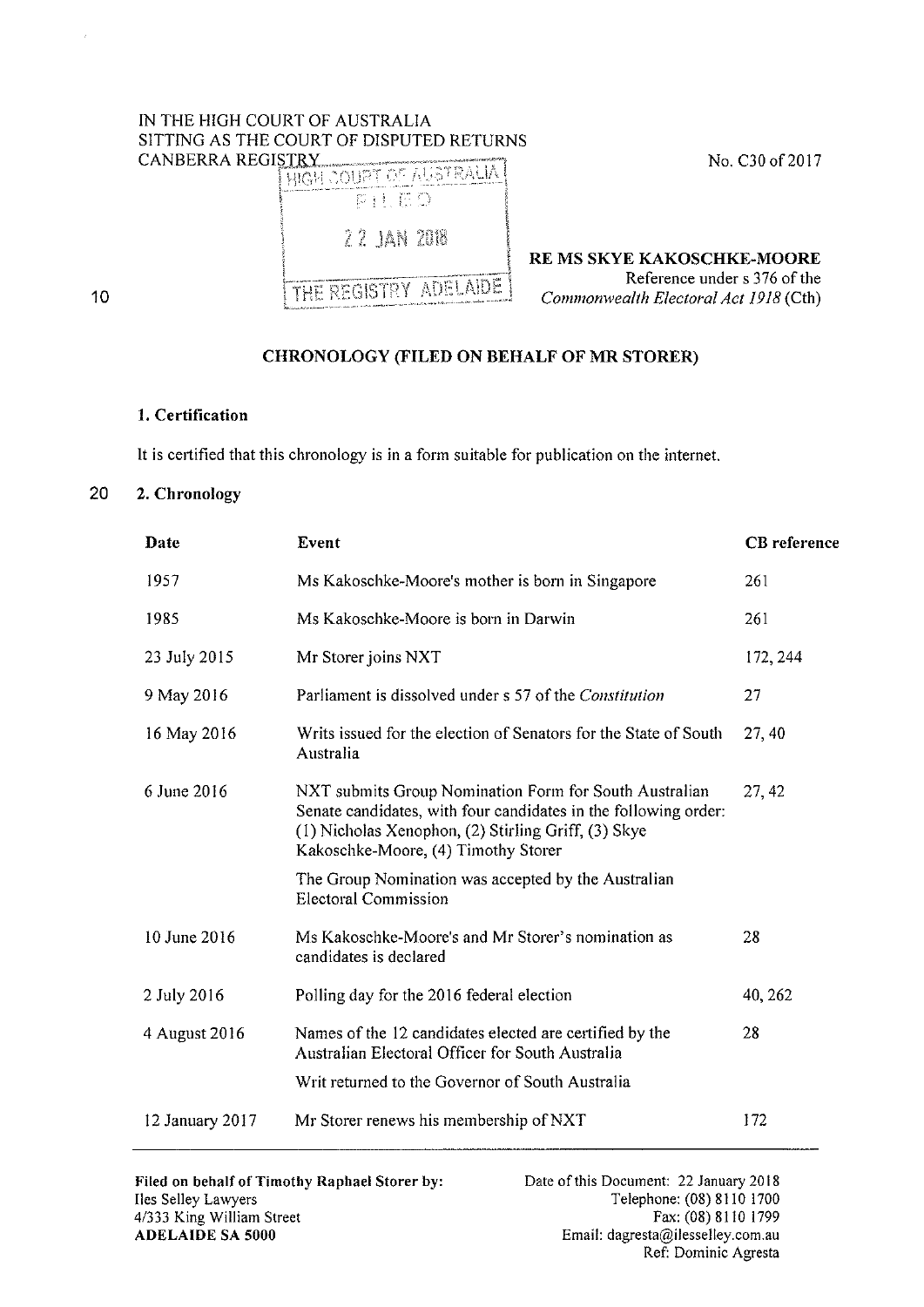## IN THE HIGH COURT OF AUSTRALIA SITTING AS THE COURT OF DISPUTED RETURNS<br>CANBERRA REGISTRY



RE MS SKYE KAKOSCHKE-MOORE Reference under s 376 of the *Commonwealth Electoral Act 1918* (Cth)

## CHRONOLOGY (FILED ON BEHALF OF MR STORER)

## 1. Certification

It is certified that this chronology is in a form suitable for publication on the internet.

## 20 2. Chronology

10

| Date            | Event                                                                                                                                                                                                                   | <b>CB</b> reference |
|-----------------|-------------------------------------------------------------------------------------------------------------------------------------------------------------------------------------------------------------------------|---------------------|
| 1957            | Ms Kakoschke-Moore's mother is born in Singapore                                                                                                                                                                        | 261                 |
| 1985            | Ms Kakoschke-Moore is born in Darwin                                                                                                                                                                                    | 261                 |
| 23 July 2015    | Mr Storer joins NXT                                                                                                                                                                                                     | 172, 244            |
| 9 May 2016      | Parliament is dissolved under s 57 of the Constitution                                                                                                                                                                  | 27                  |
| 16 May 2016     | Writs issued for the election of Senators for the State of South<br>Australia                                                                                                                                           | 27, 40              |
| 6 June 2016     | NXT submits Group Nomination Form for South Australian<br>Senate candidates, with four candidates in the following order:<br>(1) Nicholas Xenophon, (2) Stirling Griff, (3) Skye<br>Kakoschke-Moore, (4) Timothy Storer | 27, 42              |
|                 | The Group Nomination was accepted by the Australian<br><b>Electoral Commission</b>                                                                                                                                      |                     |
| 10 June 2016    | Ms Kakoschke-Moore's and Mr Storer's nomination as<br>candidates is declared                                                                                                                                            | 28                  |
| 2 July 2016     | Polling day for the 2016 federal election                                                                                                                                                                               | 40, 262             |
| 4 August 2016   | Names of the 12 candidates elected are certified by the<br>Australian Electoral Officer for South Australia                                                                                                             | 28                  |
|                 | Writ returned to the Governor of South Australia                                                                                                                                                                        |                     |
| 12 January 2017 | Mr Storer renews his membership of NXT                                                                                                                                                                                  | 172                 |
|                 |                                                                                                                                                                                                                         |                     |

Filed on behalf of Timothy Raphael Storer by: lies Selley Lawyers 4/333 King William Street ADELAIDE SA 5000